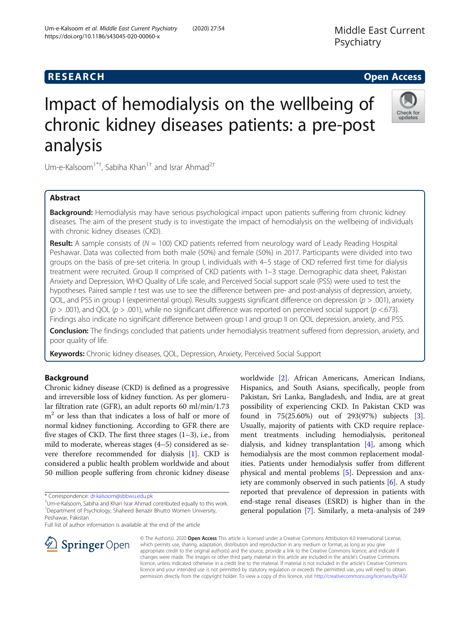Middle East Current Psychiatry



# Impact of hemodialysis on the wellbeing of chronic kidney diseases patients: a pre-post analysis

Um-e-Kalsoom<sup>1\*†</sup>, Sabiha Khan<sup>1†</sup> and Israr Ahmad<sup>2†</sup>

# Abstract

Background: Hemodialysis may have serious psychological impact upon patients suffering from chronic kidney diseases. The aim of the present study is to investigate the impact of hemodialysis on the wellbeing of individuals with chronic kidney diseases (CKD).

**Result:** A sample consists of ( $N = 100$ ) CKD patients referred from neurology ward of Leady Reading Hospital Peshawar. Data was collected from both male (50%) and female (50%) in 2017. Participants were divided into two groups on the basis of pre-set criteria. In group I, individuals with 4–5 stage of CKD referred first time for dialysis treatment were recruited. Group II comprised of CKD patients with 1–3 stage. Demographic data sheet, Pakistan Anxiety and Depression, WHO Quality of Life scale, and Perceived Social support scale (PSS) were used to test the hypotheses. Paired sample  $t$  test was use to see the difference between pre- and post-analysis of depression, anxiety, QOL, and PSS in group I (experimental group). Results suggests significant difference on depression ( $p > .001$ ), anxiety  $(p > .001)$ , and QOL  $(p > .001)$ , while no significant difference was reported on perceived social support  $(p < .673)$ . Findings also indicate no significant difference between group I and group II on QOL depression, anxiety, and PSS.

Conclusion: The findings concluded that patients under hemodialysis treatment suffered from depression, anxiety, and poor quality of life.

Keywords: Chronic kidney diseases, QOL, Depression, Anxiety, Perceived Social Support

# Background

Chronic kidney disease (CKD) is defined as a progressive and irreversible loss of kidney function. As per glomerular filtration rate (GFR), an adult reports 60 ml/min/1.73  $m<sup>2</sup>$  or less than that indicates a loss of half or more of normal kidney functioning. According to GFR there are five stages of CKD. The first three stages  $(1-3)$ , i.e., from mild to moderate, whereas stages (4–5) considered as severe therefore recommended for dialysis [\[1](#page-3-0)]. CKD is considered a public health problem worldwide and about 50 million people suffering from chronic kidney disease

Full list of author information is available at the end of the article



worldwide [\[2](#page-3-0)]. African Americans, American Indians, Hispanics, and South Asians, specifically, people from Pakistan, Sri Lanka, Bangladesh, and India, are at great possibility of experiencing CKD. In Pakistan CKD was found in 75(25.60%) out of 293(97%) subjects [\[3](#page-3-0)]. Usually, majority of patients with CKD require replacement treatments including hemodialysis, peritoneal dialysis, and kidney transplantation [\[4\]](#page-4-0), among which hemodialysis are the most common replacement modalities. Patients under hemodialysis suffer from different physical and mental problems [[5\]](#page-4-0). Depression and anxiety are commonly observed in such patients [[6\]](#page-4-0). A study reported that prevalence of depression in patients with end-stage renal diseases (ESRD) is higher than in the general population [\[7](#page-4-0)]. Similarly, a meta-analysis of 249

© The Author(s). 2020 Open Access This article is licensed under a Creative Commons Attribution 4.0 International License, which permits use, sharing, adaptation, distribution and reproduction in any medium or format, as long as you give appropriate credit to the original author(s) and the source, provide a link to the Creative Commons licence, and indicate if changes were made. The images or other third party material in this article are included in the article's Creative Commons licence, unless indicated otherwise in a credit line to the material. If material is not included in the article's Creative Commons licence and your intended use is not permitted by statutory regulation or exceeds the permitted use, you will need to obtain permission directly from the copyright holder. To view a copy of this licence, visit <http://creativecommons.org/licenses/by/4.0/>.

<sup>\*</sup> Correspondence: [dr.kalsoom@sbbwu.edu.pk](mailto:dr.kalsoom@sbbwu.edu.pk) †

Um-e-Kalsoom, Sabiha and Khan Israr Ahmad contributed equally to this work. <sup>1</sup>Department of Psychology, Shaheed Benazir Bhutto Women University, Peshawar, Pakistan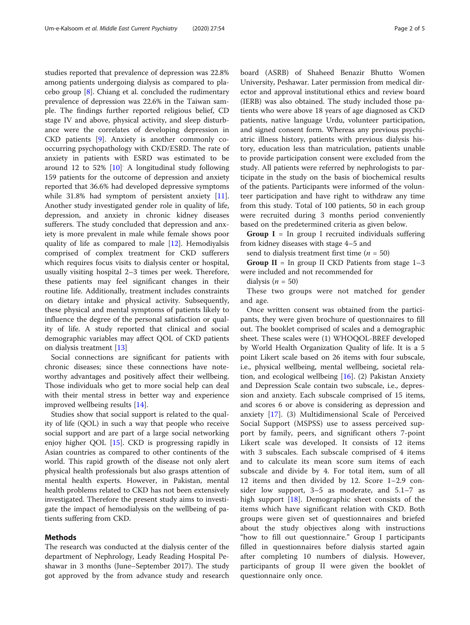studies reported that prevalence of depression was 22.8% among patients undergoing dialysis as compared to placebo group [[8](#page-4-0)]. Chiang et al. concluded the rudimentary prevalence of depression was 22.6% in the Taiwan sample. The findings further reported religious belief, CD stage IV and above, physical activity, and sleep disturbance were the correlates of developing depression in CKD patients [\[9](#page-4-0)]. Anxiety is another commonly cooccurring psychopathology with CKD/ESRD. The rate of anxiety in patients with ESRD was estimated to be around 12 to 52% [\[10\]](#page-4-0) A longitudinal study following 159 patients for the outcome of depression and anxiety reported that 36.6% had developed depressive symptoms while 31.8% had symptom of persistent anxiety [\[11](#page-4-0)]. Another study investigated gender role in quality of life, depression, and anxiety in chronic kidney diseases sufferers. The study concluded that depression and anxiety is more prevalent in male while female shows poor quality of life as compared to male [\[12](#page-4-0)]. Hemodiyalsis comprised of complex treatment for CKD sufferers which requires focus visits to dialysis center or hospital, usually visiting hospital 2–3 times per week. Therefore, these patients may feel significant changes in their routine life. Additionally, treatment includes constraints on dietary intake and physical activity. Subsequently, these physical and mental symptoms of patients likely to influence the degree of the personal satisfaction or quality of life. A study reported that clinical and social demographic variables may affect QOL of CKD patients on dialysis treatment [\[13](#page-4-0)]

Social connections are significant for patients with chronic diseases; since these connections have noteworthy advantages and positively affect their wellbeing. Those individuals who get to more social help can deal with their mental stress in better way and experience improved wellbeing results [[14\]](#page-4-0).

Studies show that social support is related to the quality of life (QOL) in such a way that people who receive social support and are part of a large social networking enjoy higher QOL [\[15](#page-4-0)]. CKD is progressing rapidly in Asian countries as compared to other continents of the world. This rapid growth of the disease not only alert physical health professionals but also grasps attention of mental health experts. However, in Pakistan, mental health problems related to CKD has not been extensively investigated. Therefore the present study aims to investigate the impact of hemodialysis on the wellbeing of patients suffering from CKD.

# Methods

The research was conducted at the dialysis center of the department of Nephrology, Leady Reading Hospital Peshawar in 3 months (June–September 2017). The study got approved by the from advance study and research board (ASRB) of Shaheed Benazir Bhutto Women University, Peshawar. Later permission from medical director and approval institutional ethics and review board (IERB) was also obtained. The study included those patients who were above 18 years of age diagnosed as CKD patients, native language Urdu, volunteer participation, and signed consent form. Whereas any previous psychiatric illness history, patients with previous dialysis history, education less than matriculation, patients unable to provide participation consent were excluded from the study. All patients were referred by nephrologists to participate in the study on the basis of biochemical results of the patients. Participants were informed of the volunteer participation and have right to withdraw any time from this study. Total of 100 patients, 50 in each group were recruited during 3 months period conveniently based on the predetermined criteria as given below.

**Group I** = In group I recruited individuals suffering from kidney diseases with stage 4–5 and

send to dialysis treatment first time ( $n = 50$ )

Group  $II = In$  group II CKD Patients from stage  $1-3$ were included and not recommended for

dialysis ( $n = 50$ )

These two groups were not matched for gender and age.

Once written consent was obtained from the participants, they were given brochure of questionnaires to fill out. The booklet comprised of scales and a demographic sheet. These scales were (1) WHOQOL-BREF developed by World Health Organization Quality of life. It is a 5 point Likert scale based on 26 items with four subscale, i.e., physical wellbeing, mental wellbeing, societal relation, and ecological wellbeing [\[16\]](#page-4-0). (2) Pakistan Anxiety and Depression Scale contain two subscale, i.e., depression and anxiety. Each subscale comprised of 15 items, and scores 6 or above is considering as depression and anxiety [[17\]](#page-4-0). (3) Multidimensional Scale of Perceived Social Support (MSPSS) use to assess perceived support by family, peers, and significant others 7-point Likert scale was developed. It consists of 12 items with 3 subscales. Each subscale comprised of 4 items and to calculate its mean score sum items of each subscale and divide by 4. For total item, sum of all 12 items and then divided by 12. Score 1–2.9 consider low support, 3–5 as moderate, and 5.1–7 as high support [[18\]](#page-4-0). Demographic sheet consists of the items which have significant relation with CKD. Both groups were given set of questionnaires and briefed about the study objectives along with instructions "how to fill out questionnaire." Group I participants filled in questionnaires before dialysis started again after completing 10 numbers of dialysis. However, participants of group II were given the booklet of questionnaire only once.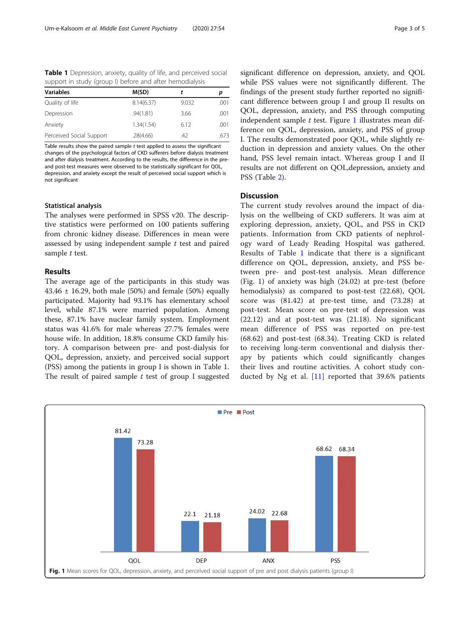Table 1 Depression, anxiety, quality of life, and perceived social support in study (group I) before and after hemodialysis

| <b>Variables</b>         | M(SD)      |       |      |  |  |
|--------------------------|------------|-------|------|--|--|
| Quality of life          | 8.14(6.37) | 9.032 | .001 |  |  |
| Depression               | .94(1.81)  | 3.66  | .001 |  |  |
| Anxiety                  | 1.34(1.54) | 6.12  | .001 |  |  |
| Perceived Social Support | .28(4.66)  | .42   | .673 |  |  |

Table results show the paired sample t test applied to assess the significant changes of the psychological factors of CKD sufferers before dialysis treatment and after dialysis treatment. According to the results, the difference in the preand post-test measures were observed to be statistically significant for QOL, depression, and anxiety except the result of perceived social support which is not significant

#### Statistical analysis

The analyses were performed in SPSS v20. The descriptive statistics were performed on 100 patients suffering from chronic kidney disease. Differences in mean were assessed by using independent sample  $t$  test and paired sample t test.

# Results

The average age of the participants in this study was 43.46  $\pm$  16.29, both male (50%) and female (50%) equally participated. Majority had 93.1% has elementary school level, while 87.1% were married population. Among these, 87.1% have nuclear family system. Employment status was 41.6% for male whereas 27.7% females were house wife. In addition, 18.8% consume CKD family history. A comparison between pre- and post-dialysis for QOL, depression, anxiety, and perceived social support (PSS) among the patients in group I is shown in Table 1. The result of paired sample  $t$  test of group I suggested significant difference on depression, anxiety, and QOL while PSS values were not significantly different. The findings of the present study further reported no significant difference between group I and group II results on QOL, depression, anxiety, and PSS through computing independent sample  $t$  test. Figure 1 illustrates mean difference on QOL, depression, anxiety, and PSS of group I. The results demonstrated poor QOL, while slightly reduction in depression and anxiety values. On the other hand, PSS level remain intact. Whereas group I and II results are not different on QOL,depression, anxiety and PSS (Table [2](#page-3-0)).

# **Discussion**

The current study revolves around the impact of dialysis on the wellbeing of CKD sufferers. It was aim at exploring depression, anxiety, QOL, and PSS in CKD patients. Information from CKD patients of nephrology ward of Leady Reading Hospital was gathered. Results of Table 1 indicate that there is a significant difference on QOL, depression, anxiety, and PSS between pre- and post-test analysis. Mean difference (Fig. 1) of anxiety was high (24.02) at pre-test (before hemodialysis) as compared to post-test (22.68), QOL score was (81.42) at pre-test time, and (73.28) at post-test. Mean score on pre-test of depression was (22.12) and at post-test was (21.18). No significant mean difference of PSS was reported on pre-test (68.62) and post-test (68.34). Treating CKD is related to receiving long-term conventional and dialysis therapy by patients which could significantly changes their lives and routine activities. A cohort study conducted by Ng et al.  $[11]$  $[11]$  reported that 39.6% patients

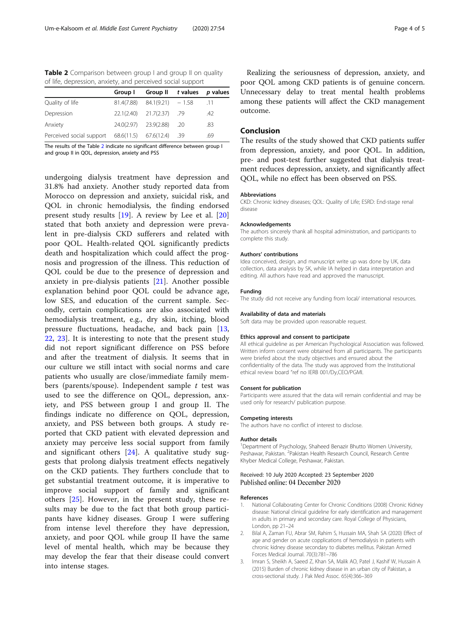<span id="page-3-0"></span>Table 2 Comparison between group I and group II on quality of life, depression, anxiety, and perceived social support

|                                                    | Group I | Group II                          | t values p values |     |
|----------------------------------------------------|---------|-----------------------------------|-------------------|-----|
| Quality of life                                    |         | $81.4(7.88)$ $84.1(9.21)$ $-1.58$ |                   | .11 |
| Depression                                         |         | 22.1(2.40) 21.7(2.37) .79         |                   | .42 |
| Anxiety                                            |         | 24.0(2.97) 23.9(2.88) .20         |                   | .83 |
| Perceived social support 68.6(11.5) 67.6(12.4) .39 |         |                                   |                   | .69 |

The results of the Table 2 indicate no significant difference between group I and group II in QOL, depression, anxiety and PSS

undergoing dialysis treatment have depression and 31.8% had anxiety. Another study reported data from Morocco on depression and anxiety, suicidal risk, and QOL in chronic hemodialysis, the finding endorsed present study results [\[19](#page-4-0)]. A review by Lee et al. [\[20](#page-4-0)] stated that both anxiety and depression were prevalent in pre-dialysis CKD sufferers and related with poor QOL. Health-related QOL significantly predicts death and hospitalization which could affect the prognosis and progression of the illness. This reduction of QOL could be due to the presence of depression and anxiety in pre-dialysis patients [\[21](#page-4-0)]. Another possible explanation behind poor QOL could be advance age, low SES, and education of the current sample. Secondly, certain complications are also associated with hemodialysis treatment, e.g., dry skin, itching, blood pressure fluctuations, headache, and back pain [\[13](#page-4-0), [22,](#page-4-0) [23\]](#page-4-0). It is interesting to note that the present study did not report significant difference on PSS before and after the treatment of dialysis. It seems that in our culture we still intact with social norms and care patients who usually are close/immediate family members (parents/spouse). Independent sample  $t$  test was used to see the difference on QOL, depression, anxiety, and PSS between group I and group II. The findings indicate no difference on QOL, depression, anxiety, and PSS between both groups. A study reported that CKD patient with elevated depression and anxiety may perceive less social support from family and significant others [[24](#page-4-0)]. A qualitative study suggests that prolong dialysis treatment effects negatively on the CKD patients. They furthers conclude that to get substantial treatment outcome, it is imperative to improve social support of family and significant others [[25\]](#page-4-0). However, in the present study, these results may be due to the fact that both group participants have kidney diseases. Group I were suffering from intense level therefore they have depression, anxiety, and poor QOL while group II have the same level of mental health, which may be because they may develop the fear that their disease could convert into intense stages.

Realizing the seriousness of depression, anxiety, and poor QOL among CKD patients is of genuine concern. Unnecessary delay to treat mental health problems among these patients will affect the CKD management outcome.

## Conclusion

The results of the study showed that CKD patients suffer from depression, anxiety, and poor QOL. In addition, pre- and post-test further suggested that dialysis treatment reduces depression, anxiety, and significantly affect QOL, while no effect has been observed on PSS.

#### Abbreviations

CKD: Chronic kidney diseases; QOL: Quality of Life; ESRD: End-stage renal disease

#### Acknowledgements

The authors sincerely thank all hospital administration, and participants to complete this study.

#### Authors' contributions

Idea conceived, design, and manuscript write up was done by UK, data collection, data analysis by SK, while IA helped in data interpretation and editing. All authors have read and approved the manuscript.

#### Funding

The study did not receive any funding from local/ international resources.

#### Availability of data and materials

Soft data may be provided upon reasonable request.

#### Ethics approval and consent to participate

All ethical guideline as per American Psychological Association was followed. Written inform consent were obtained from all participants. The participants were briefed about the study objectives and ensured about the confidentiality of the data. The study was approved from the Institutional ethical review board "ref no IERB 001/Dy,CEO/PGMI.

#### Consent for publication

Participants were assured that the data will remain confidential and may be used only for research/ publication purpose.

## Competing interests

The authors have no conflict of interest to disclose.

#### Author details

<sup>1</sup>Department of Psychology, Shaheed Benazir Bhutto Women University, Peshawar, Pakistan. <sup>2</sup>Pakistan Health Research Council, Research Centre Khyber Medical College, Peshawar, Pakistan.

## Received: 10 July 2020 Accepted: 23 September 2020 Published online: 04 December 2020

#### References

- 1. National Collaborating Center for Chronic Conditions (2008) Chronic Kidney disease: National clinical guideline for early identification and management in adults in primary and secondary care. Royal College of Physicians, London, pp 21–24
- 2. Bilal A, Zaman FU, Abrar SM, Rahim S, Hussain MA, Shah SA (2020) Effect of age and gender on acute copplications of hemodialysis in patients with chronic kidney disease secondary to diabetes mellitus. Pakistan Armed Forces Medical Journal. 70(3):781–786
- 3. Imran S, Sheikh A, Saeed Z, Khan SA, Malik AO, Patel J, Kashif W, Hussain A (2015) Burden of chronic kidney disease in an urban city of Pakistan, a cross-sectional study. J Pak Med Assoc. 65(4):366–369